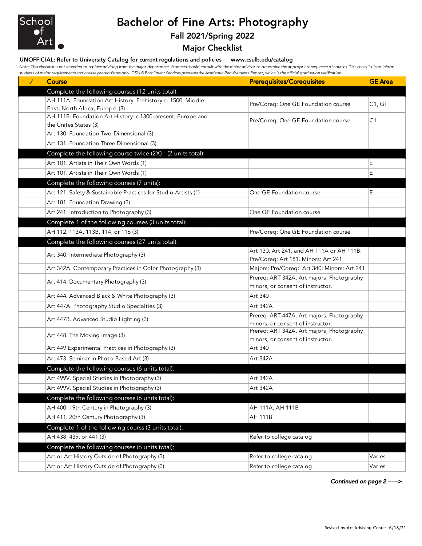

## Bachelor of Fine Arts: Photography

## Fall 2021/Spring 2022

## Major Checklist

UNOFFICIAL: Refer to University Catalog for current regulations and policies www.csulb.edu/catalog

*Note: This checklist is not intended to replace advising from the major department. Students should consult with the major advisor to determine the appropriate sequence of courses. This checklist is to inform students of major requirements and course prerequisites only. CSULB Enrollment Services prepares the Academic Requirements Report, which is the official graduation verification.*

| $\checkmark$ | Course                                                                               | <b>Prerequisites/Corequisites</b>                                              | <b>GE</b> Area |
|--------------|--------------------------------------------------------------------------------------|--------------------------------------------------------------------------------|----------------|
|              | Complete the following courses (12 units total):                                     |                                                                                |                |
|              | AH 111A. Foundation Art History: Prehistory-c. 1500, Middle                          | Pre/Coreq: One GE Foundation course                                            | C1, G1         |
|              | East, North Africa, Europe (3)                                                       |                                                                                |                |
|              | AH 111B. Foundation Art History: c.1300-present, Europe and<br>the Unites States (3) | Pre/Coreq: One GE Foundation course                                            | C1             |
|              | Art 130. Foundation Two-Dimensional (3)                                              |                                                                                |                |
|              | Art 131. Foundation Three Dimensional (3)                                            |                                                                                |                |
|              | Complete the following course twice (2X)<br>(2 units total):                         |                                                                                |                |
|              | Art 101. Artists in Their Own Words (1)                                              |                                                                                | E              |
|              | Art 101. Artists in Their Own Words (1)                                              |                                                                                | Ε              |
|              | Complete the following courses (7 units):                                            |                                                                                |                |
|              | Art 121. Safety & Sustainable Practices for Studio Artists (1)                       | One GE Foundation course                                                       | E              |
|              | Art 181. Foundation Drawing (3)                                                      |                                                                                |                |
|              | Art 241. Introduction to Photography (3)                                             | One GE Foundation course                                                       |                |
|              | Complete 1 of the following courses (3 units total):                                 |                                                                                |                |
|              | AH 112, 113A, 113B, 114, or 116 (3)                                                  | Pre/Coreq: One GE Foundation course                                            |                |
|              | Complete the following courses (27 units total):                                     |                                                                                |                |
|              |                                                                                      | Art 130, Art 241, and AH 111A or AH 111B;                                      |                |
|              | Art 340. Intermediate Photography (3)                                                | Pre/Coreq: Art 181. Minors: Art 241                                            |                |
|              | Art 342A. Contemporary Practices in Color Photography (3)                            | Majors: Pre/Coreq: Art 340; Minors: Art 241                                    |                |
|              | Art 414. Documentary Photography (3)                                                 | Prereq: ART 342A. Art majors, Photography                                      |                |
|              |                                                                                      | minors, or consent of instructor.                                              |                |
|              | Art 444. Advanced Black & White Photography (3)                                      | Art 340                                                                        |                |
|              | Art 447A. Photography Studio Specialties (3)                                         | Art 342A                                                                       |                |
|              | Art 447B. Advanced Studio Lighting (3)                                               | Prereq: ART 447A. Art majors, Photography                                      |                |
|              |                                                                                      | minors, or consent of instructor.<br>Prereq: ART 342A. Art majors, Photography |                |
|              | Art 448. The Moving Image (3)                                                        | minors, or consent of instructor.                                              |                |
|              | Art 449. Experimental Practices in Photography (3)                                   | Art 340                                                                        |                |
|              | Art 473. Seminar in Photo-Based Art (3)                                              | Art 342A                                                                       |                |
|              | Complete the following courses (6 units total):                                      |                                                                                |                |
|              | Art 499V. Special Studies in Photography (3)                                         | Art 342A                                                                       |                |
|              | Art 499V. Special Studies in Photography (3)                                         | Art 342A                                                                       |                |
|              | Complete the following courses (6 units total):                                      |                                                                                |                |
|              | AH 400. 19th Century in Photography (3)                                              | AH 111A, AH 111B                                                               |                |
|              | AH 411. 20th Century Photography (3)                                                 | <b>AH 111B</b>                                                                 |                |
|              | Complete 1 of the following courss (3 units total):                                  |                                                                                |                |
|              | AH 438, 439, or 441 (3)                                                              | Refer to college catalog                                                       |                |
|              | Complete the following courses (6 units total):                                      |                                                                                |                |
|              | Art or Art History Outside of Photography (3)                                        | Refer to college catalog                                                       | Varies         |
|              | Art or Art History Outside of Photography (3)                                        | Refer to college catalog                                                       | Varies         |

*Continued on page 2 ----->*